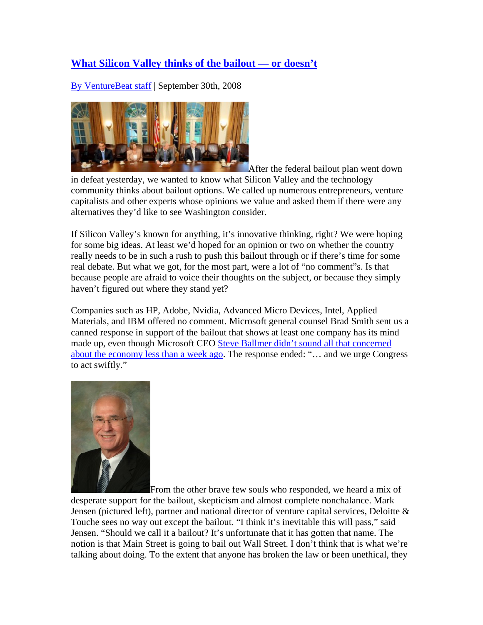## **What Silicon Valley thinks of the bailout — or doesn't**

By VentureBeat staff | September 30th, 2008



After the federal bailout plan went down

in defeat yesterday, we wanted to know what Silicon Valley and the technology community thinks about bailout options. We called up numerous entrepreneurs, venture capitalists and other experts whose opinions we value and asked them if there were any alternatives they'd like to see Washington consider.

If Silicon Valley's known for anything, it's innovative thinking, right? We were hoping for some big ideas. At least we'd hoped for an opinion or two on whether the country really needs to be in such a rush to push this bailout through or if there's time for some real debate. But what we got, for the most part, were a lot of "no comment"s. Is that because people are afraid to voice their thoughts on the subject, or because they simply haven't figured out where they stand yet?

Companies such as HP, Adobe, Nvidia, Advanced Micro Devices, Intel, Applied Materials, and IBM offered no comment. Microsoft general counsel Brad Smith sent us a canned response in support of the bailout that shows at least one company has its mind made up, even though Microsoft CEO Steve Ballmer didn't sound all that concerned about the economy less than a week ago. The response ended: "… and we urge Congress to act swiftly."



From the other brave few souls who responded, we heard a mix of

desperate support for the bailout, skepticism and almost complete nonchalance. Mark Jensen (pictured left), partner and national director of venture capital services, Deloitte & Touche sees no way out except the bailout. "I think it's inevitable this will pass," said Jensen. "Should we call it a bailout? It's unfortunate that it has gotten that name. The notion is that Main Street is going to bail out Wall Street. I don't think that is what we're talking about doing. To the extent that anyone has broken the law or been unethical, they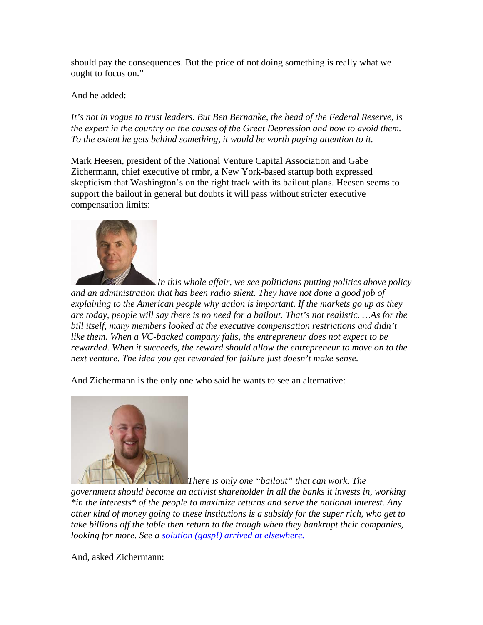should pay the consequences. But the price of not doing something is really what we ought to focus on."

And he added:

*It's not in vogue to trust leaders. But Ben Bernanke, the head of the Federal Reserve, is the expert in the country on the causes of the Great Depression and how to avoid them. To the extent he gets behind something, it would be worth paying attention to it.*

Mark Heesen, president of the National Venture Capital Association and Gabe Zichermann, chief executive of rmbr, a New York-based startup both expressed skepticism that Washington's on the right track with its bailout plans. Heesen seems to support the bailout in general but doubts it will pass without stricter executive compensation limits:



*In this whole affair, we see politicians putting politics above policy and an administration that has been radio silent. They have not done a good job of explaining to the American people why action is important. If the markets go up as they are today, people will say there is no need for a bailout. That's not realistic. …As for the bill itself, many members looked at the executive compensation restrictions and didn't like them. When a VC-backed company fails, the entrepreneur does not expect to be rewarded. When it succeeds, the reward should allow the entrepreneur to move on to the next venture. The idea you get rewarded for failure just doesn't make sense.*

And Zichermann is the only one who said he wants to see an alternative:



*There is only one "bailout" that can work. The* 

*government should become an activist shareholder in all the banks it invests in, working \*in the interests\* of the people to maximize returns and serve the national interest. Any other kind of money going to these institutions is a subsidy for the super rich, who get to take billions off the table then return to the trough when they bankrupt their companies, looking for more. See a solution (gasp!) arrived at elsewhere.*

And, asked Zichermann: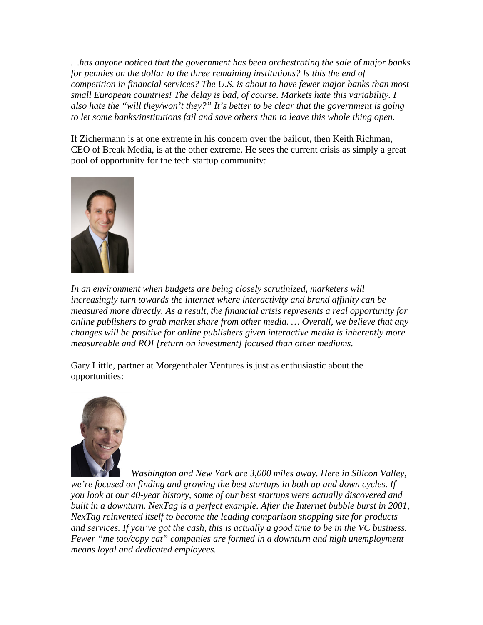*…has anyone noticed that the government has been orchestrating the sale of major banks for pennies on the dollar to the three remaining institutions? Is this the end of competition in financial services? The U.S. is about to have fewer major banks than most small European countries! The delay is bad, of course. Markets hate this variability. I also hate the "will they/won't they?" It's better to be clear that the government is going to let some banks/institutions fail and save others than to leave this whole thing open.*

If Zichermann is at one extreme in his concern over the bailout, then Keith Richman, CEO of Break Media, is at the other extreme. He sees the current crisis as simply a great pool of opportunity for the tech startup community:



*In an environment when budgets are being closely scrutinized, marketers will increasingly turn towards the internet where interactivity and brand affinity can be measured more directly. As a result, the financial crisis represents a real opportunity for online publishers to grab market share from other media. … Overall, we believe that any changes will be positive for online publishers given interactive media is inherently more measureable and ROI [return on investment] focused than other mediums.*

Gary Little, partner at Morgenthaler Ventures is just as enthusiastic about the opportunities:



*Washington and New York are 3,000 miles away. Here in Silicon Valley, we're focused on finding and growing the best startups in both up and down cycles. If you look at our 40-year history, some of our best startups were actually discovered and built in a downturn. NexTag is a perfect example. After the Internet bubble burst in 2001, NexTag reinvented itself to become the leading comparison shopping site for products and services. If you've got the cash, this is actually a good time to be in the VC business. Fewer "me too/copy cat" companies are formed in a downturn and high unemployment means loyal and dedicated employees.*